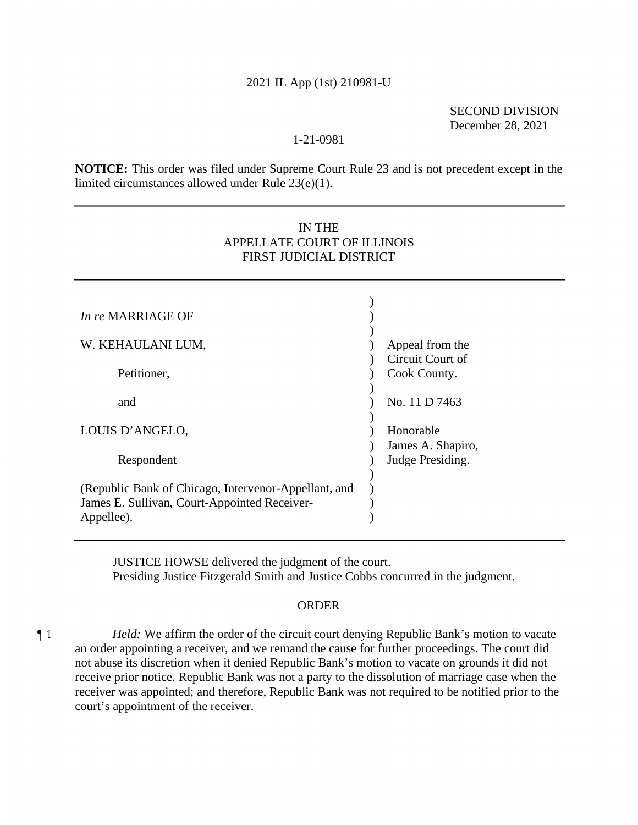## 2021 IL App (1st) 210981-U

SECOND DIVISION December 28, 2021

## 1-21-0981

**NOTICE:** This order was filed under Supreme Court Rule 23 and is not precedent except in the limited circumstances allowed under Rule 23(e)(1).

# IN THE APPELLATE COURT OF ILLINOIS FIRST JUDICIAL DISTRICT

| <i>In re</i> MARRIAGE OF                             |                   |
|------------------------------------------------------|-------------------|
|                                                      |                   |
| W. KEHAULANI LUM,                                    | Appeal from the   |
|                                                      | Circuit Court of  |
| Petitioner,                                          | Cook County.      |
|                                                      |                   |
| and                                                  | No. 11 D 7463     |
|                                                      |                   |
| LOUIS D'ANGELO,                                      | Honorable         |
|                                                      | James A. Shapiro, |
| Respondent                                           | Judge Presiding.  |
|                                                      |                   |
| (Republic Bank of Chicago, Intervenor-Appellant, and |                   |
| James E. Sullivan, Court-Appointed Receiver-         |                   |
| Appellee).                                           |                   |

JUSTICE HOWSE delivered the judgment of the court. Presiding Justice Fitzgerald Smith and Justice Cobbs concurred in the judgment.

### **ORDER**

¶ 1 *Held:* We affirm the order of the circuit court denying Republic Bank's motion to vacate an order appointing a receiver, and we remand the cause for further proceedings. The court did not abuse its discretion when it denied Republic Bank's motion to vacate on grounds it did not receive prior notice. Republic Bank was not a party to the dissolution of marriage case when the receiver was appointed; and therefore, Republic Bank was not required to be notified prior to the court's appointment of the receiver.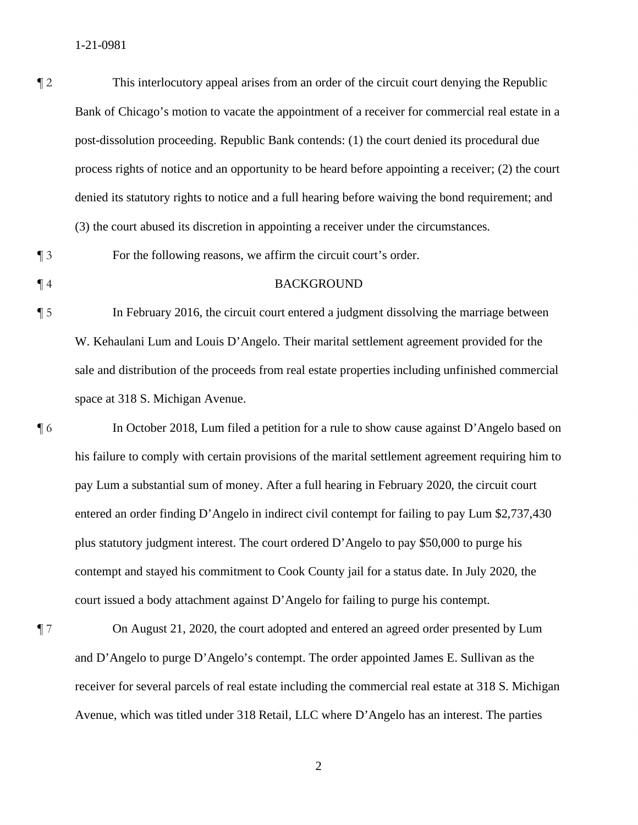¶ 2 This interlocutory appeal arises from an order of the circuit court denying the Republic Bank of Chicago's motion to vacate the appointment of a receiver for commercial real estate in a post-dissolution proceeding. Republic Bank contends: (1) the court denied its procedural due process rights of notice and an opportunity to be heard before appointing a receiver; (2) the court denied its statutory rights to notice and a full hearing before waiving the bond requirement; and (3) the court abused its discretion in appointing a receiver under the circumstances.

¶ 3 For the following reasons, we affirm the circuit court's order.

#### ¶ 4 BACKGROUND

¶ 5 In February 2016, the circuit court entered a judgment dissolving the marriage between W. Kehaulani Lum and Louis D'Angelo. Their marital settlement agreement provided for the sale and distribution of the proceeds from real estate properties including unfinished commercial space at 318 S. Michigan Avenue.

¶ 6 In October 2018, Lum filed a petition for a rule to show cause against D'Angelo based on his failure to comply with certain provisions of the marital settlement agreement requiring him to pay Lum a substantial sum of money. After a full hearing in February 2020, the circuit court entered an order finding D'Angelo in indirect civil contempt for failing to pay Lum \$2,737,430 plus statutory judgment interest. The court ordered D'Angelo to pay \$50,000 to purge his contempt and stayed his commitment to Cook County jail for a status date. In July 2020, the court issued a body attachment against D'Angelo for failing to purge his contempt.

¶ 7 On August 21, 2020, the court adopted and entered an agreed order presented by Lum and D'Angelo to purge D'Angelo's contempt. The order appointed James E. Sullivan as the receiver for several parcels of real estate including the commercial real estate at 318 S. Michigan Avenue, which was titled under 318 Retail, LLC where D'Angelo has an interest. The parties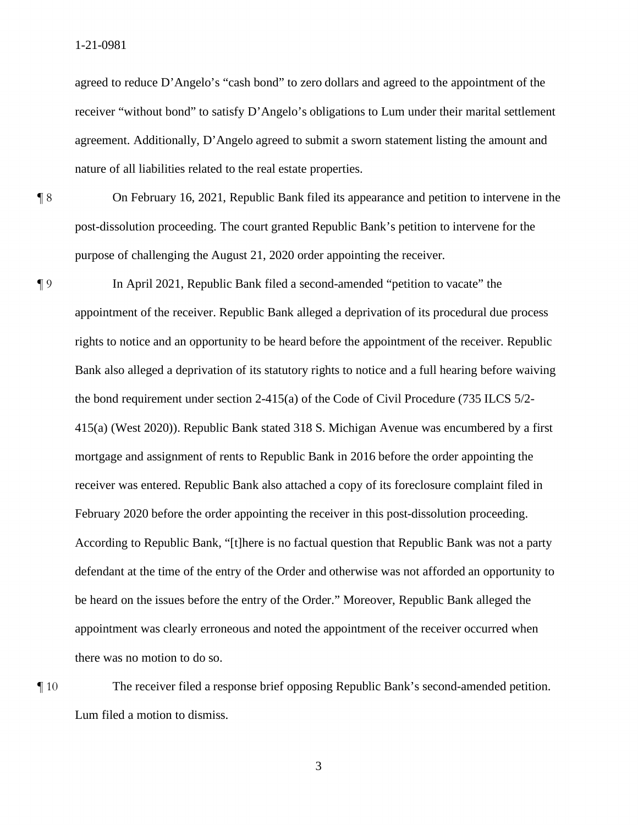agreed to reduce D'Angelo's "cash bond" to zero dollars and agreed to the appointment of the receiver "without bond" to satisfy D'Angelo's obligations to Lum under their marital settlement agreement. Additionally, D'Angelo agreed to submit a sworn statement listing the amount and nature of all liabilities related to the real estate properties.

¶ 8 On February 16, 2021, Republic Bank filed its appearance and petition to intervene in the post-dissolution proceeding. The court granted Republic Bank's petition to intervene for the purpose of challenging the August 21, 2020 order appointing the receiver.

¶ 9 In April 2021, Republic Bank filed a second-amended "petition to vacate" the appointment of the receiver. Republic Bank alleged a deprivation of its procedural due process rights to notice and an opportunity to be heard before the appointment of the receiver. Republic Bank also alleged a deprivation of its statutory rights to notice and a full hearing before waiving the bond requirement under section 2-415(a) of the Code of Civil Procedure (735 ILCS 5/2- 415(a) (West 2020)). Republic Bank stated 318 S. Michigan Avenue was encumbered by a first mortgage and assignment of rents to Republic Bank in 2016 before the order appointing the receiver was entered. Republic Bank also attached a copy of its foreclosure complaint filed in February 2020 before the order appointing the receiver in this post-dissolution proceeding. According to Republic Bank, "[t]here is no factual question that Republic Bank was not a party defendant at the time of the entry of the Order and otherwise was not afforded an opportunity to be heard on the issues before the entry of the Order." Moreover, Republic Bank alleged the appointment was clearly erroneous and noted the appointment of the receiver occurred when there was no motion to do so.

¶ 10 The receiver filed a response brief opposing Republic Bank's second-amended petition. Lum filed a motion to dismiss.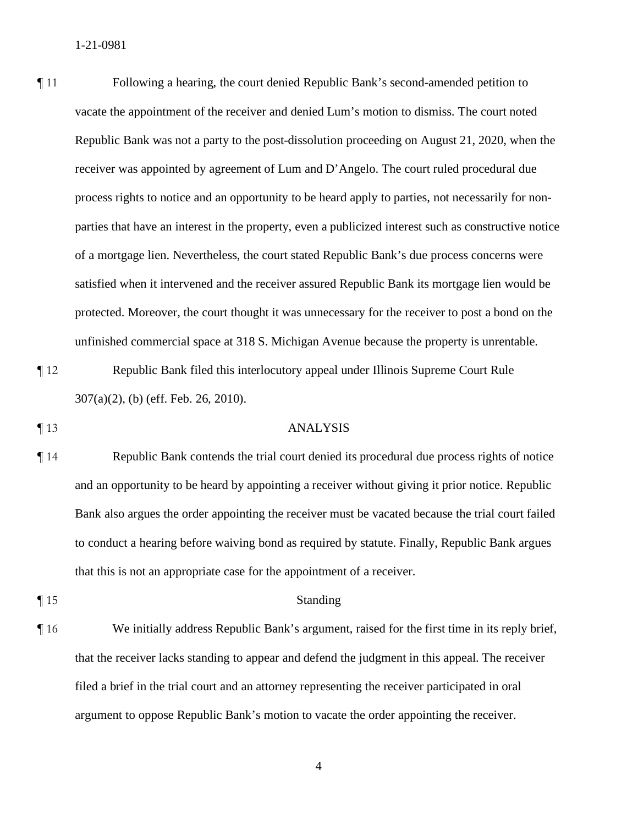¶ 11 Following a hearing, the court denied Republic Bank's second-amended petition to vacate the appointment of the receiver and denied Lum's motion to dismiss. The court noted Republic Bank was not a party to the post-dissolution proceeding on August 21, 2020, when the receiver was appointed by agreement of Lum and D'Angelo. The court ruled procedural due process rights to notice and an opportunity to be heard apply to parties, not necessarily for nonparties that have an interest in the property, even a publicized interest such as constructive notice of a mortgage lien. Nevertheless, the court stated Republic Bank's due process concerns were satisfied when it intervened and the receiver assured Republic Bank its mortgage lien would be protected. Moreover, the court thought it was unnecessary for the receiver to post a bond on the unfinished commercial space at 318 S. Michigan Avenue because the property is unrentable.

¶ 12 Republic Bank filed this interlocutory appeal under Illinois Supreme Court Rule 307(a)(2), (b) (eff. Feb. 26, 2010).

#### ¶ 13 ANALYSIS

- ¶ 14 Republic Bank contends the trial court denied its procedural due process rights of notice and an opportunity to be heard by appointing a receiver without giving it prior notice. Republic Bank also argues the order appointing the receiver must be vacated because the trial court failed to conduct a hearing before waiving bond as required by statute. Finally, Republic Bank argues that this is not an appropriate case for the appointment of a receiver.
- 

## ¶ 15 Standing

¶ 16 We initially address Republic Bank's argument, raised for the first time in its reply brief, that the receiver lacks standing to appear and defend the judgment in this appeal. The receiver filed a brief in the trial court and an attorney representing the receiver participated in oral argument to oppose Republic Bank's motion to vacate the order appointing the receiver.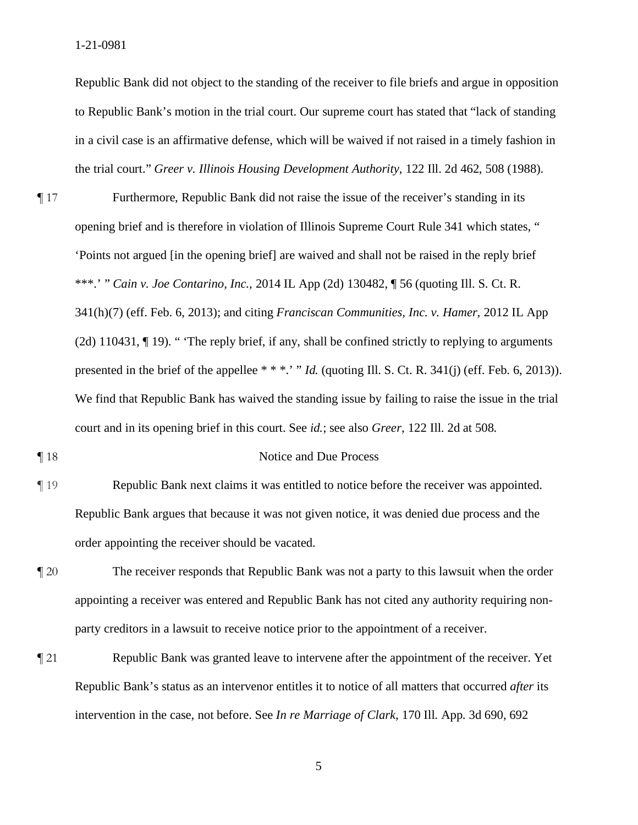Republic Bank did not object to the standing of the receiver to file briefs and argue in opposition to Republic Bank's motion in the trial court. Our supreme court has stated that "lack of standing in a civil case is an affirmative defense, which will be waived if not raised in a timely fashion in the trial court." *Greer v. Illinois Housing Development Authority*, 122 Ill. 2d 462, 508 (1988).

- ¶ 17 Furthermore, Republic Bank did not raise the issue of the receiver's standing in its opening brief and is therefore in violation of Illinois Supreme Court Rule 341 which states, " 'Points not argued [in the opening brief] are waived and shall not be raised in the reply brief \*\*\*.' " *Cain v. Joe Contarino, Inc.*, 2014 IL App (2d) 130482, ¶ 56 (quoting Ill. S. Ct. R. 341(h)(7) (eff. Feb. 6, 2013); and citing *Franciscan Communities, Inc. v. Hamer*, 2012 IL App (2d) 110431, ¶ 19). " 'The reply brief, if any, shall be confined strictly to replying to arguments presented in the brief of the appellee \* \* \*.' " *Id.* (quoting Ill. S. Ct. R. 341(j) (eff. Feb. 6, 2013)). We find that Republic Bank has waived the standing issue by failing to raise the issue in the trial court and in its opening brief in this court. See *id.*; see also *Greer*, 122 Ill. 2d at 508.
- 

## ¶ 18 Notice and Due Process

- ¶ 19 Republic Bank next claims it was entitled to notice before the receiver was appointed. Republic Bank argues that because it was not given notice, it was denied due process and the order appointing the receiver should be vacated.
- ¶ 20 The receiver responds that Republic Bank was not a party to this lawsuit when the order appointing a receiver was entered and Republic Bank has not cited any authority requiring nonparty creditors in a lawsuit to receive notice prior to the appointment of a receiver.
- ¶ 21 Republic Bank was granted leave to intervene after the appointment of the receiver. Yet Republic Bank's status as an intervenor entitles it to notice of all matters that occurred *after* its intervention in the case, not before. See *In re Marriage of Clark*, 170 Ill. App. 3d 690, 692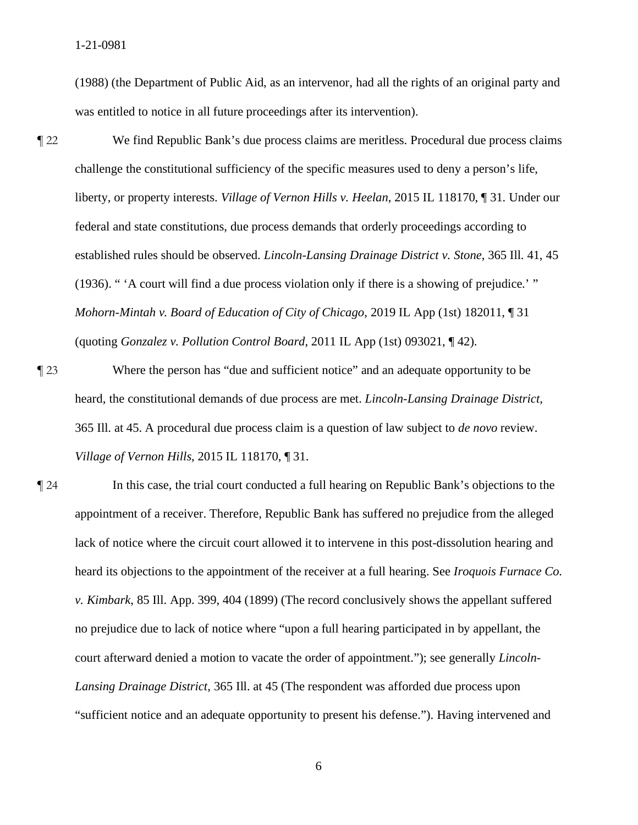(1988) (the Department of Public Aid, as an intervenor, had all the rights of an original party and was entitled to notice in all future proceedings after its intervention).

- ¶ 22 We find Republic Bank's due process claims are meritless. Procedural due process claims challenge the constitutional sufficiency of the specific measures used to deny a person's life, liberty, or property interests. *Village of Vernon Hills v. Heelan*, 2015 IL 118170, ¶ 31. Under our federal and state constitutions, due process demands that orderly proceedings according to established rules should be observed. *Lincoln-Lansing Drainage District v. Stone*, 365 Ill. 41, 45 (1936). " 'A court will find a due process violation only if there is a showing of prejudice.' " *Mohorn-Mintah v. Board of Education of City of Chicago*, 2019 IL App (1st) 182011, ¶ 31 (quoting *Gonzalez v. Pollution Control Board*, 2011 IL App (1st) 093021, ¶ 42).
- ¶ 23 Where the person has "due and sufficient notice" and an adequate opportunity to be heard, the constitutional demands of due process are met. *Lincoln-Lansing Drainage District*, 365 Ill. at 45. A procedural due process claim is a question of law subject to *de novo* review. *Village of Vernon Hills*, 2015 IL 118170, ¶ 31.
- ¶ 24 In this case, the trial court conducted a full hearing on Republic Bank's objections to the appointment of a receiver. Therefore, Republic Bank has suffered no prejudice from the alleged lack of notice where the circuit court allowed it to intervene in this post-dissolution hearing and heard its objections to the appointment of the receiver at a full hearing. See *Iroquois Furnace Co. v. Kimbark*, 85 Ill. App. 399, 404 (1899) (The record conclusively shows the appellant suffered no prejudice due to lack of notice where "upon a full hearing participated in by appellant, the court afterward denied a motion to vacate the order of appointment."); see generally *Lincoln-Lansing Drainage District*, 365 Ill. at 45 (The respondent was afforded due process upon "sufficient notice and an adequate opportunity to present his defense."). Having intervened and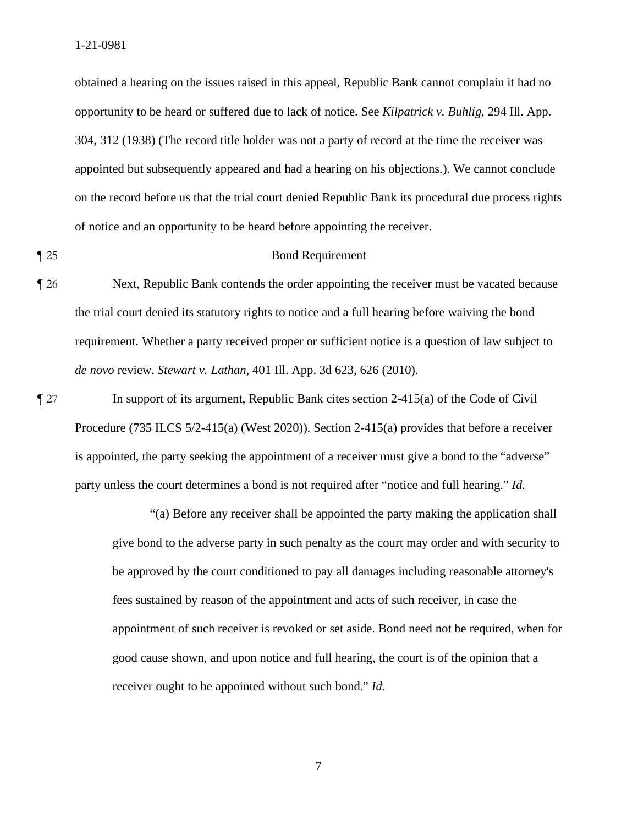obtained a hearing on the issues raised in this appeal, Republic Bank cannot complain it had no opportunity to be heard or suffered due to lack of notice. See *Kilpatrick v. Buhlig*, 294 Ill. App. 304, 312 (1938) (The record title holder was not a party of record at the time the receiver was appointed but subsequently appeared and had a hearing on his objections.). We cannot conclude on the record before us that the trial court denied Republic Bank its procedural due process rights of notice and an opportunity to be heard before appointing the receiver.

## ¶ 25 Bond Requirement

¶ 26 Next, Republic Bank contends the order appointing the receiver must be vacated because the trial court denied its statutory rights to notice and a full hearing before waiving the bond requirement. Whether a party received proper or sufficient notice is a question of law subject to *de novo* review. *Stewart v. Lathan*, 401 Ill. App. 3d 623, 626 (2010).

¶ 27 In support of its argument, Republic Bank cites section 2-415(a) of the Code of Civil Procedure (735 ILCS 5/2-415(a) (West 2020)). Section 2-415(a) provides that before a receiver is appointed, the party seeking the appointment of a receiver must give a bond to the "adverse" party unless the court determines a bond is not required after "notice and full hearing." *Id.*

> "(a) Before any receiver shall be appointed the party making the application shall give bond to the adverse party in such penalty as the court may order and with security to be approved by the court conditioned to pay all damages including reasonable attorney's fees sustained by reason of the appointment and acts of such receiver, in case the appointment of such receiver is revoked or set aside. Bond need not be required, when for good cause shown, and upon notice and full hearing, the court is of the opinion that a receiver ought to be appointed without such bond." *Id.*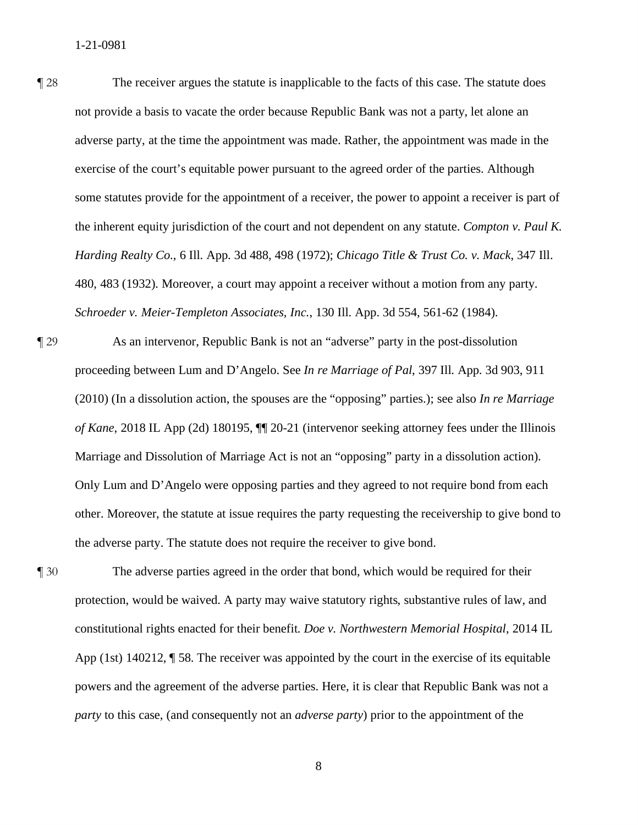¶ 28 The receiver argues the statute is inapplicable to the facts of this case. The statute does not provide a basis to vacate the order because Republic Bank was not a party, let alone an adverse party, at the time the appointment was made. Rather, the appointment was made in the exercise of the court's equitable power pursuant to the agreed order of the parties. Although some statutes provide for the appointment of a receiver, the power to appoint a receiver is part of the inherent equity jurisdiction of the court and not dependent on any statute. *Compton v. Paul K. Harding Realty Co.*, 6 Ill. App. 3d 488, 498 (1972); *Chicago Title & Trust Co. v. Mack*, 347 Ill. 480, 483 (1932). Moreover, a court may appoint a receiver without a motion from any party. *Schroeder v. Meier-Templeton Associates, Inc.*, 130 Ill. App. 3d 554, 561-62 (1984).

- ¶ 29 As an intervenor, Republic Bank is not an "adverse" party in the post-dissolution proceeding between Lum and D'Angelo. See *In re Marriage of Pal*, 397 Ill. App. 3d 903, 911 (2010) (In a dissolution action, the spouses are the "opposing" parties.); see also *In re Marriage of Kane*, 2018 IL App (2d) 180195, ¶¶ 20-21 (intervenor seeking attorney fees under the Illinois Marriage and Dissolution of Marriage Act is not an "opposing" party in a dissolution action). Only Lum and D'Angelo were opposing parties and they agreed to not require bond from each other. Moreover, the statute at issue requires the party requesting the receivership to give bond to the adverse party. The statute does not require the receiver to give bond.
- ¶ 30 The adverse parties agreed in the order that bond, which would be required for their protection, would be waived. A party may waive statutory rights, substantive rules of law, and constitutional rights enacted for their benefit. *Doe v. Northwestern Memorial Hospital*, 2014 IL App (1st) 140212, ¶ 58. The receiver was appointed by the court in the exercise of its equitable powers and the agreement of the adverse parties. Here, it is clear that Republic Bank was not a *party* to this case, (and consequently not an *adverse party*) prior to the appointment of the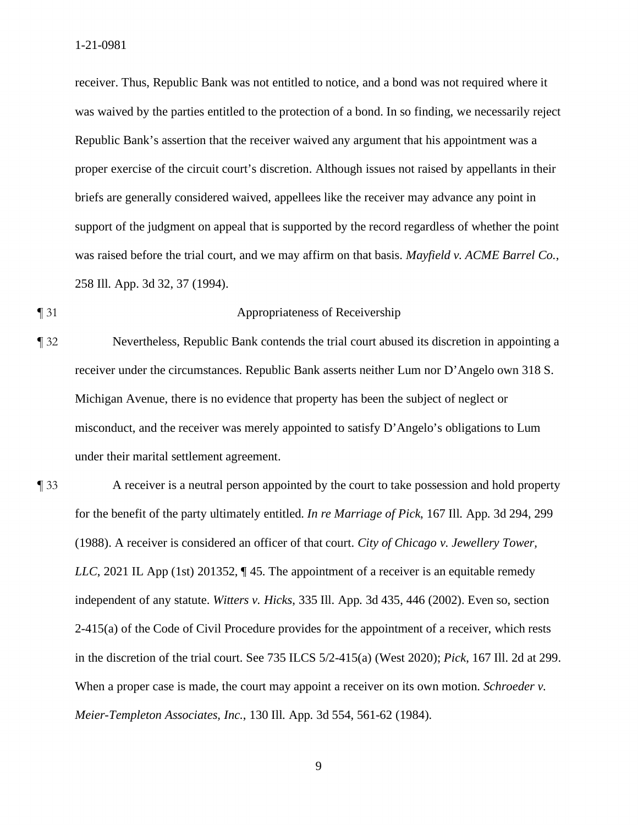receiver. Thus, Republic Bank was not entitled to notice, and a bond was not required where it was waived by the parties entitled to the protection of a bond. In so finding, we necessarily reject Republic Bank's assertion that the receiver waived any argument that his appointment was a proper exercise of the circuit court's discretion. Although issues not raised by appellants in their briefs are generally considered waived, appellees like the receiver may advance any point in support of the judgment on appeal that is supported by the record regardless of whether the point was raised before the trial court, and we may affirm on that basis. *Mayfield v. ACME Barrel Co.*, 258 Ill. App. 3d 32, 37 (1994).

## ¶ 31 Appropriateness of Receivership

- ¶ 32 Nevertheless, Republic Bank contends the trial court abused its discretion in appointing a receiver under the circumstances. Republic Bank asserts neither Lum nor D'Angelo own 318 S. Michigan Avenue, there is no evidence that property has been the subject of neglect or misconduct, and the receiver was merely appointed to satisfy D'Angelo's obligations to Lum under their marital settlement agreement.
- ¶ 33 A receiver is a neutral person appointed by the court to take possession and hold property for the benefit of the party ultimately entitled. *In re Marriage of Pick*, 167 Ill. App. 3d 294, 299 (1988). A receiver is considered an officer of that court. *City of Chicago v. Jewellery Tower, LLC*, 2021 IL App (1st) 201352,  $\P$  45. The appointment of a receiver is an equitable remedy independent of any statute. *Witters v. Hicks*, 335 Ill. App. 3d 435, 446 (2002). Even so, section 2-415(a) of the Code of Civil Procedure provides for the appointment of a receiver, which rests in the discretion of the trial court. See 735 ILCS 5/2-415(a) (West 2020); *Pick*, 167 Ill. 2d at 299. When a proper case is made, the court may appoint a receiver on its own motion. *Schroeder v. Meier-Templeton Associates, Inc.*, 130 Ill. App. 3d 554, 561-62 (1984).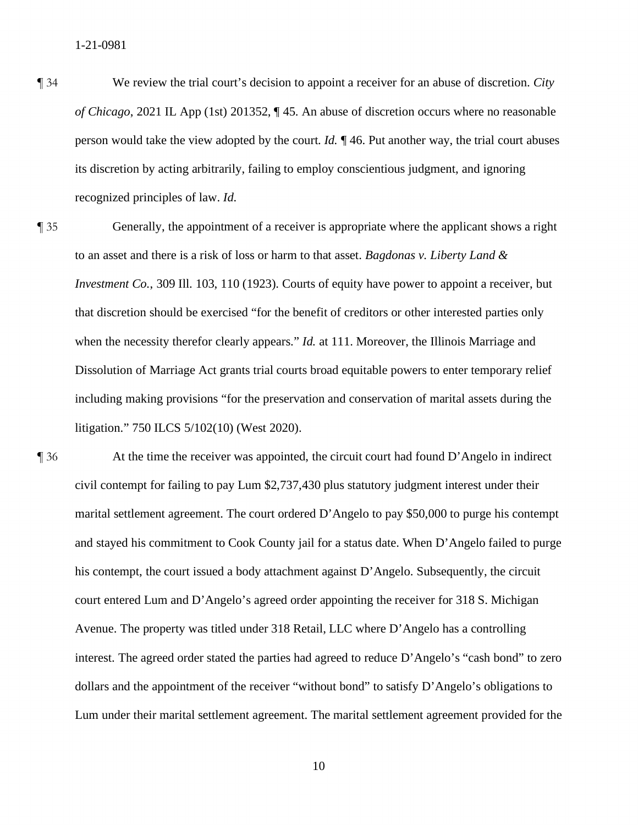¶ 34 We review the trial court's decision to appoint a receiver for an abuse of discretion. *City of Chicago*, 2021 IL App (1st) 201352, ¶ 45. An abuse of discretion occurs where no reasonable person would take the view adopted by the court. *Id.* ¶ 46. Put another way, the trial court abuses its discretion by acting arbitrarily, failing to employ conscientious judgment, and ignoring recognized principles of law. *Id.*

¶ 35 Generally, the appointment of a receiver is appropriate where the applicant shows a right to an asset and there is a risk of loss or harm to that asset. *Bagdonas v. Liberty Land & Investment Co.*, 309 Ill. 103, 110 (1923). Courts of equity have power to appoint a receiver, but that discretion should be exercised "for the benefit of creditors or other interested parties only when the necessity therefor clearly appears." *Id.* at 111. Moreover, the Illinois Marriage and Dissolution of Marriage Act grants trial courts broad equitable powers to enter temporary relief including making provisions "for the preservation and conservation of marital assets during the litigation." 750 ILCS 5/102(10) (West 2020).

¶ 36 At the time the receiver was appointed, the circuit court had found D'Angelo in indirect civil contempt for failing to pay Lum \$2,737,430 plus statutory judgment interest under their marital settlement agreement. The court ordered D'Angelo to pay \$50,000 to purge his contempt and stayed his commitment to Cook County jail for a status date. When D'Angelo failed to purge his contempt, the court issued a body attachment against D'Angelo. Subsequently, the circuit court entered Lum and D'Angelo's agreed order appointing the receiver for 318 S. Michigan Avenue. The property was titled under 318 Retail, LLC where D'Angelo has a controlling interest. The agreed order stated the parties had agreed to reduce D'Angelo's "cash bond" to zero dollars and the appointment of the receiver "without bond" to satisfy D'Angelo's obligations to Lum under their marital settlement agreement. The marital settlement agreement provided for the